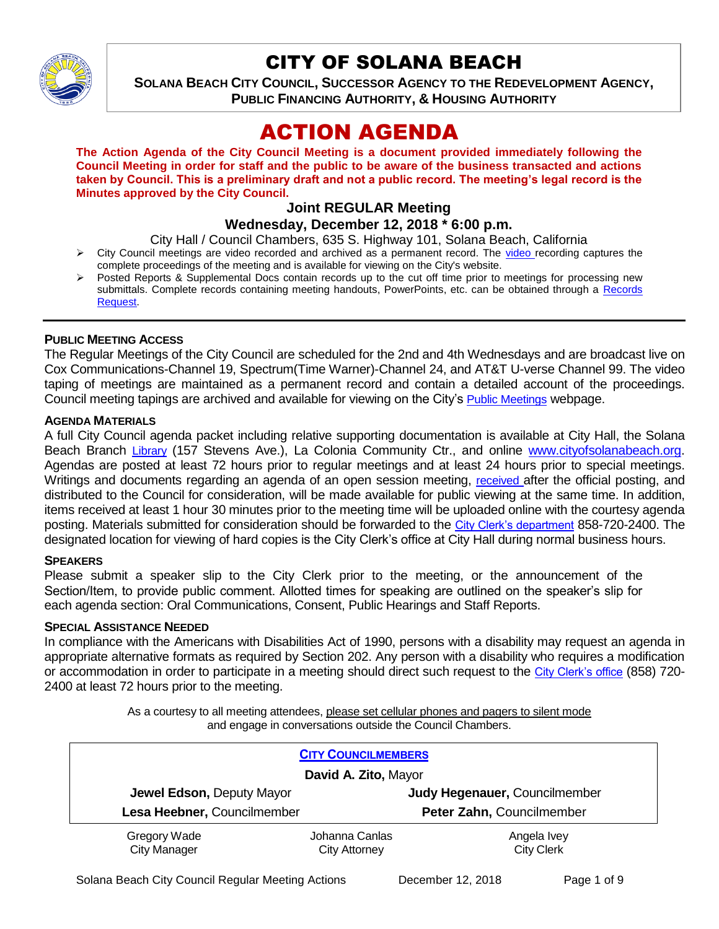

# CITY OF SOLANA BEACH

**SOLANA BEACH CITY COUNCIL, SUCCESSOR AGENCY TO THE REDEVELOPMENT AGENCY, PUBLIC FINANCING AUTHORITY, & HOUSING AUTHORITY** 

# ACTION AGENDA

**The Action Agenda of the City Council Meeting is a document provided immediately following the Council Meeting in order for staff and the public to be aware of the business transacted and actions taken by Council. This is a preliminary draft and not a public record. The meeting's legal record is the Minutes approved by the City Council.**

# **Joint REGULAR Meeting**

# **Wednesday, December 12, 2018 \* 6:00 p.m.**

City Hall / Council Chambers, 635 S. Highway 101, Solana Beach, California

- $\triangleright$  City Council meetings are [video r](https://solanabeach.12milesout.com/#page=1)ecorded and archived as a permanent record. The video recording captures the complete proceedings of the meeting and is available for viewing on the City's website.
- Posted Reports & Supplemental Docs contain records up to the cut off time prior to meetings for processing new submittals. Complete records containing meeting handouts, PowerPoints, etc. can be obtained through a Records [Request.](http://www.ci.solana-beach.ca.us/index.asp?SEC=F5D45D10-70CE-4291-A27C-7BD633FC6742&Type=B_BASIC)

#### **PUBLIC MEETING ACCESS**

The Regular Meetings of the City Council are scheduled for the 2nd and 4th Wednesdays and are broadcast live on Cox Communications-Channel 19, Spectrum(Time Warner)-Channel 24, and AT&T U-verse Channel 99. The video taping of meetings are maintained as a permanent record and contain a detailed account of the proceedings. Council meeting tapings are archived and available for viewing on the City's [Public Meetings](https://www.ci.solana-beach.ca.us/index.asp?SEC=F0F1200D-21C6-4A88-8AE1-0BC07C1A81A7&Type=B_BASIC) webpage.

#### **AGENDA MATERIALS**

A full City Council agenda packet including relative supporting documentation is available at City Hall, the Solana Beach Branch [Library](http://www.sdcl.org/locations_SB.html) (157 Stevens Ave.), La Colonia Community Ctr., and online [www.cityofsolanabeach.org.](http://www.cityofsolanabeach.org/) Agendas are posted at least 72 hours prior to regular meetings and at least 24 hours prior to special meetings. Writings and documents regarding an agenda of an open session meeting, [received](mailto:EMAILGRP-CityClerksOfc@cosb.org) after the official posting, and distributed to the Council for consideration, will be made available for public viewing at the same time. In addition, items received at least 1 hour 30 minutes prior to the meeting time will be uploaded online with the courtesy agenda posting. Materials submitted for consideration should be forwarded to the [City Clerk's department](mailto:EMAILGRP-CityClerksOfc@cosb.org) 858-720-2400. The designated location for viewing of hard copies is the City Clerk's office at City Hall during normal business hours.

#### **SPEAKERS**

Please submit a speaker slip to the City Clerk prior to the meeting, or the announcement of the Section/Item, to provide public comment. Allotted times for speaking are outlined on the speaker's slip for each agenda section: Oral Communications, Consent, Public Hearings and Staff Reports.

#### **SPECIAL ASSISTANCE NEEDED**

In compliance with the Americans with Disabilities Act of 1990, persons with a disability may request an agenda in appropriate alternative formats as required by Section 202. Any person with a disability who requires a modification or accommodation in order to participate in a meeting should direct such request to the [City Clerk's office](mailto:clerkadmin@cosb.org?subject=City%20Clerk%20Notice%20of%20Special%20Services%20Needed) (858) 720- 2400 at least 72 hours prior to the meeting.

> As a courtesy to all meeting attendees, please set cellular phones and pagers to silent mode and engage in conversations outside the Council Chambers.

|                                                            | <b>CITY COUNCILMEMBERS</b> |                           |  |  |
|------------------------------------------------------------|----------------------------|---------------------------|--|--|
| David A. Zito, Mayor                                       |                            |                           |  |  |
| Judy Hegenauer, Councilmember<br>Jewel Edson, Deputy Mayor |                            |                           |  |  |
| Lesa Heebner, Councilmember                                |                            | Peter Zahn, Councilmember |  |  |
| Gregory Wade                                               | Johanna Canlas             | Angela Ivey               |  |  |
| City Manager                                               | <b>City Attorney</b>       | <b>City Clerk</b>         |  |  |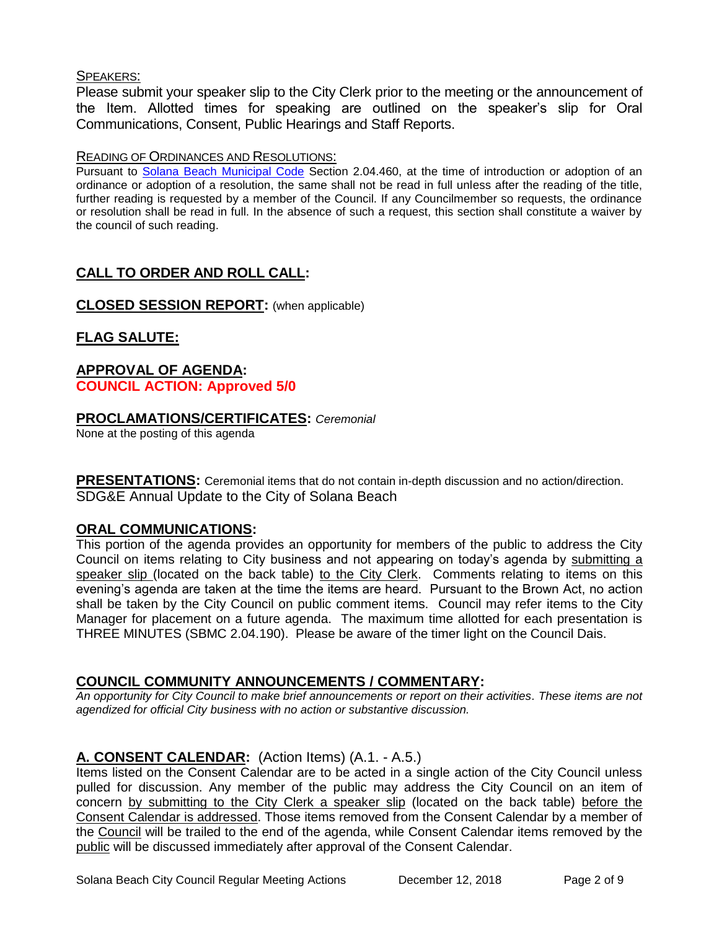#### SPEAKERS:

Please submit your speaker slip to the City Clerk prior to the meeting or the announcement of the Item. Allotted times for speaking are outlined on the speaker's slip for Oral Communications, Consent, Public Hearings and Staff Reports.

#### READING OF ORDINANCES AND RESOLUTIONS:

Pursuant to [Solana Beach Municipal Code](mailto:https://www.codepublishing.com/CA/SolanaBeach/) Section 2.04.460, at the time of introduction or adoption of an ordinance or adoption of a resolution, the same shall not be read in full unless after the reading of the title, further reading is requested by a member of the Council. If any Councilmember so requests, the ordinance or resolution shall be read in full. In the absence of such a request, this section shall constitute a waiver by the council of such reading.

# **CALL TO ORDER AND ROLL CALL:**

**CLOSED SESSION REPORT:** (when applicable)

# **FLAG SALUTE:**

# **APPROVAL OF AGENDA: COUNCIL ACTION: Approved 5/0**

# **PROCLAMATIONS/CERTIFICATES:** *Ceremonial*

None at the posting of this agenda

**PRESENTATIONS:** Ceremonial items that do not contain in-depth discussion and no action/direction. SDG&E Annual Update to the City of Solana Beach

# **ORAL COMMUNICATIONS:**

This portion of the agenda provides an opportunity for members of the public to address the City Council on items relating to City business and not appearing on today's agenda by submitting a speaker slip (located on the back table) to the City Clerk. Comments relating to items on this evening's agenda are taken at the time the items are heard. Pursuant to the Brown Act, no action shall be taken by the City Council on public comment items. Council may refer items to the City Manager for placement on a future agenda. The maximum time allotted for each presentation is THREE MINUTES (SBMC 2.04.190). Please be aware of the timer light on the Council Dais.

# **COUNCIL COMMUNITY ANNOUNCEMENTS / COMMENTARY:**

*An opportunity for City Council to make brief announcements or report on their activities. These items are not agendized for official City business with no action or substantive discussion.* 

# **A. CONSENT CALENDAR:** (Action Items) (A.1. - A.5.)

Items listed on the Consent Calendar are to be acted in a single action of the City Council unless pulled for discussion. Any member of the public may address the City Council on an item of concern by submitting to the City Clerk a speaker slip (located on the back table) before the Consent Calendar is addressed. Those items removed from the Consent Calendar by a member of the Council will be trailed to the end of the agenda, while Consent Calendar items removed by the public will be discussed immediately after approval of the Consent Calendar.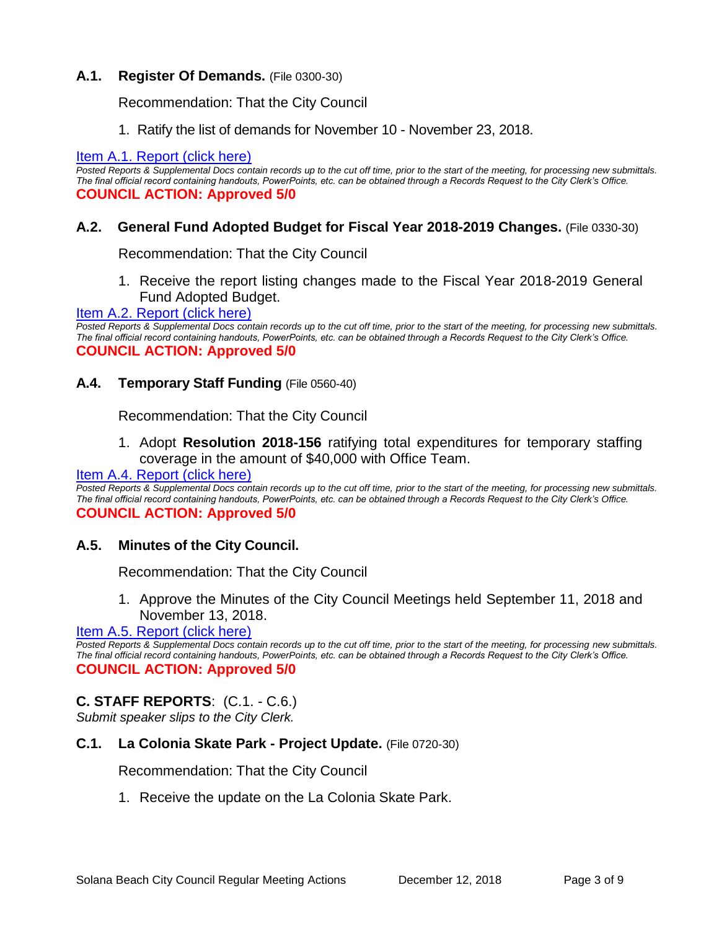#### **A.1. Register Of Demands.** (File 0300-30)

Recommendation: That the City Council

1. Ratify the list of demands for November 10 - November 23, 2018.

#### [Item A.1. Report \(click here\)](https://solanabeach.govoffice3.com/vertical/Sites/%7B840804C2-F869-4904-9AE3-720581350CE7%7D/uploads/Item_A.1._Report_(click_here)_-_12-12-18.PDF)

*Posted Reports & Supplemental Docs contain records up to the cut off time, prior to the start of the meeting, for processing new submittals. The final official record containing handouts, PowerPoints, etc. can be obtained through a Records Request to the City Clerk's Office.* **COUNCIL ACTION: Approved 5/0**

#### **A.2. General Fund Adopted Budget for Fiscal Year 2018-2019 Changes.** (File 0330-30)

Recommendation: That the City Council

1. Receive the report listing changes made to the Fiscal Year 2018-2019 General Fund Adopted Budget.

#### [Item A.2. Report \(click here\)](https://solanabeach.govoffice3.com/vertical/Sites/%7B840804C2-F869-4904-9AE3-720581350CE7%7D/uploads/Item_A.2._Report_(click_here)_-_12-12-18.PDF)

*Posted Reports & Supplemental Docs contain records up to the cut off time, prior to the start of the meeting, for processing new submittals. The final official record containing handouts, PowerPoints, etc. can be obtained through a Records Request to the City Clerk's Office.* **COUNCIL ACTION: Approved 5/0**

#### **A.4. Temporary Staff Funding** (File 0560-40)

Recommendation: That the City Council

1. Adopt **Resolution 2018-156** ratifying total expenditures for temporary staffing coverage in the amount of \$40,000 with Office Team.

#### [Item A.4. Report \(click here\)](https://solanabeach.govoffice3.com/vertical/Sites/%7B840804C2-F869-4904-9AE3-720581350CE7%7D/uploads/Item_A.4._Report_(click_here)_-_12-12-18.PDF)

*Posted Reports & Supplemental Docs contain records up to the cut off time, prior to the start of the meeting, for processing new submittals. The final official record containing handouts, PowerPoints, etc. can be obtained through a Records Request to the City Clerk's Office.* **COUNCIL ACTION: Approved 5/0**

#### **A.5. Minutes of the City Council.**

Recommendation: That the City Council

1. Approve the Minutes of the City Council Meetings held September 11, 2018 and November 13, 2018.

#### [Item A.5. Report \(click here\)](https://solanabeach.govoffice3.com/vertical/Sites/%7B840804C2-F869-4904-9AE3-720581350CE7%7D/uploads/Item_A.5._Report_(click_here)_-_12-12-18.PDF)

*Posted Reports & Supplemental Docs contain records up to the cut off time, prior to the start of the meeting, for processing new submittals. The final official record containing handouts, PowerPoints, etc. can be obtained through a Records Request to the City Clerk's Office.* **COUNCIL ACTION: Approved 5/0**

# **C. STAFF REPORTS**: (C.1. - C.6.)

*Submit speaker slips to the City Clerk.*

#### **C.1. La Colonia Skate Park - Project Update.** (File 0720-30)

Recommendation: That the City Council

1. Receive the update on the La Colonia Skate Park.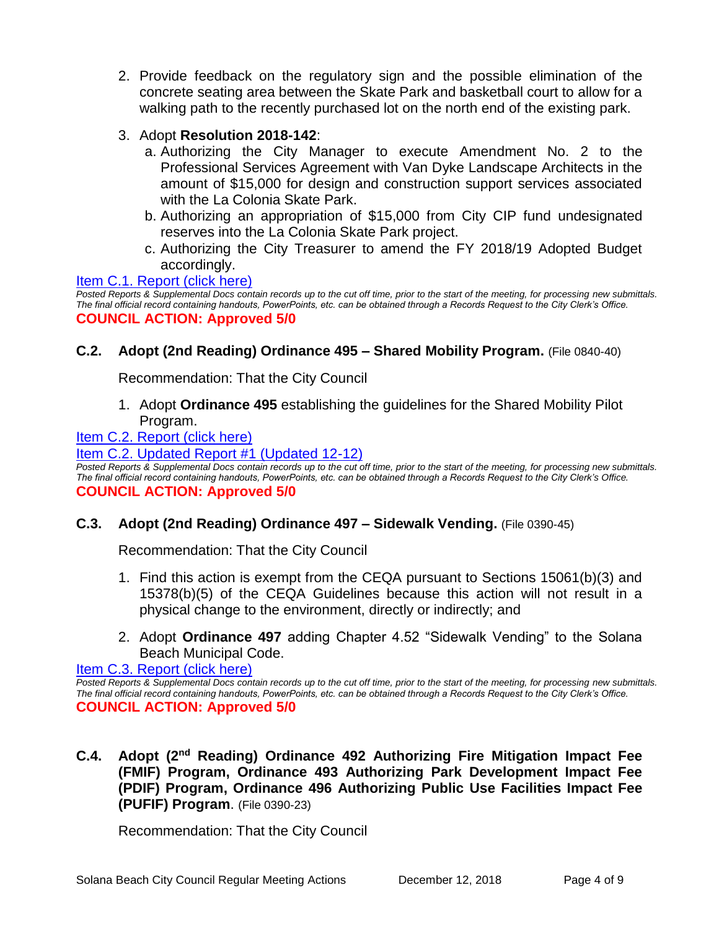- 2. Provide feedback on the regulatory sign and the possible elimination of the concrete seating area between the Skate Park and basketball court to allow for a walking path to the recently purchased lot on the north end of the existing park.
- 3. Adopt **Resolution 2018-142**:
	- a. Authorizing the City Manager to execute Amendment No. 2 to the Professional Services Agreement with Van Dyke Landscape Architects in the amount of \$15,000 for design and construction support services associated with the La Colonia Skate Park.
	- b. Authorizing an appropriation of \$15,000 from City CIP fund undesignated reserves into the La Colonia Skate Park project.
	- c. Authorizing the City Treasurer to amend the FY 2018/19 Adopted Budget accordingly.

[Item C.1. Report \(click here\)](https://solanabeach.govoffice3.com/vertical/Sites/%7B840804C2-F869-4904-9AE3-720581350CE7%7D/uploads/Item_C.1._Report_(click_here)_12-12-18.PDF)  *Posted Reports & Supplemental Docs contain records up to the cut off time, prior to the start of the meeting, for processing new submittals. The final official record containing handouts, PowerPoints, etc. can be obtained through a Records Request to the City Clerk's Office.* **COUNCIL ACTION: Approved 5/0**

# **C.2. Adopt (2nd Reading) Ordinance 495 – Shared Mobility Program.** (File 0840-40)

Recommendation: That the City Council

1. Adopt **Ordinance 495** establishing the guidelines for the Shared Mobility Pilot Program.

#### [Item C.2. Report \(click here\)](https://solanabeach.govoffice3.com/vertical/Sites/%7B840804C2-F869-4904-9AE3-720581350CE7%7D/uploads/Item_C.2._Report_(click_here)_-_12-12-18.PDF)

[Item C.2. Updated Report #1 \(Updated 12-12\)](https://solanabeach.govoffice3.com/vertical/Sites/%7B840804C2-F869-4904-9AE3-720581350CE7%7D/uploads/C.2._Updated_Report_1_-_12-12-18.pdf)

*Posted Reports & Supplemental Docs contain records up to the cut off time, prior to the start of the meeting, for processing new submittals. The final official record containing handouts, PowerPoints, etc. can be obtained through a Records Request to the City Clerk's Office.* **COUNCIL ACTION: Approved 5/0**

#### **C.3. Adopt (2nd Reading) Ordinance 497 – Sidewalk Vending.** (File 0390-45)

Recommendation: That the City Council

- 1. Find this action is exempt from the CEQA pursuant to Sections 15061(b)(3) and 15378(b)(5) of the CEQA Guidelines because this action will not result in a physical change to the environment, directly or indirectly; and
- 2. Adopt **Ordinance 497** adding Chapter 4.52 "Sidewalk Vending" to the Solana Beach Municipal Code.

[Item C.3. Report \(click here\)](https://solanabeach.govoffice3.com/vertical/Sites/%7B840804C2-F869-4904-9AE3-720581350CE7%7D/uploads/Item_C.3._Report_(click_here)_-_12-12-18.PDF) 

*Posted Reports & Supplemental Docs contain records up to the cut off time, prior to the start of the meeting, for processing new submittals. The final official record containing handouts, PowerPoints, etc. can be obtained through a Records Request to the City Clerk's Office.* **COUNCIL ACTION: Approved 5/0**

**C.4. Adopt (2nd Reading) Ordinance 492 Authorizing Fire Mitigation Impact Fee (FMIF) Program, Ordinance 493 Authorizing Park Development Impact Fee (PDIF) Program, Ordinance 496 Authorizing Public Use Facilities Impact Fee (PUFIF) Program**. (File 0390-23)

Recommendation: That the City Council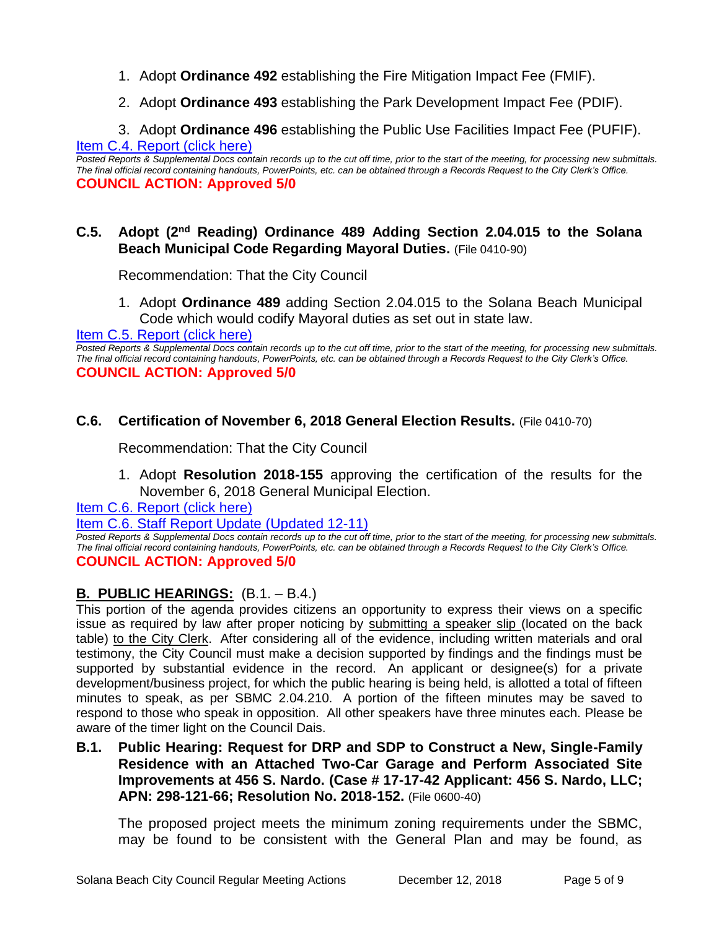- 1. Adopt **Ordinance 492** establishing the Fire Mitigation Impact Fee (FMIF).
- 2. Adopt **Ordinance 493** establishing the Park Development Impact Fee (PDIF).

3. Adopt **Ordinance 496** establishing the Public Use Facilities Impact Fee (PUFIF). [Item C.4. Report \(click here\)](https://solanabeach.govoffice3.com/vertical/Sites/%7B840804C2-F869-4904-9AE3-720581350CE7%7D/uploads/Item_C.4._Report_(click_here)_-_12-12-18.PDF) 

*Posted Reports & Supplemental Docs contain records up to the cut off time, prior to the start of the meeting, for processing new submittals. The final official record containing handouts, PowerPoints, etc. can be obtained through a Records Request to the City Clerk's Office.* **COUNCIL ACTION: Approved 5/0**

# **C.5. Adopt (2nd Reading) Ordinance 489 Adding Section 2.04.015 to the Solana Beach Municipal Code Regarding Mayoral Duties.** (File 0410-90)

Recommendation: That the City Council

1. Adopt **Ordinance 489** adding Section 2.04.015 to the Solana Beach Municipal Code which would codify Mayoral duties as set out in state law.

Item C.5. Report (click here)

*Posted Reports & Supplemental Docs contain records up to the cut off time, prior to the start of the meeting, for processing new submittals. The final official record containing handouts, PowerPoints, etc. can be obtained through a Records Request to the City Clerk's Office.* **COUNCIL ACTION: Approved 5/0**

# **C.6. Certification of November 6, 2018 General Election Results.** (File 0410-70)

Recommendation: That the City Council

1. Adopt **Resolution 2018-155** approving the certification of the results for the November 6, 2018 General Municipal Election.

[Item C.6. Report](https://solanabeach.govoffice3.com/vertical/Sites/%7B840804C2-F869-4904-9AE3-720581350CE7%7D/uploads/Item_C.6._Report_(click_here)_12-12-18.PDF) (click here)

[Item C.6. Staff Report Update \(Updated 12-11\)](https://solanabeach.govoffice3.com/vertical/Sites/%7B840804C2-F869-4904-9AE3-720581350CE7%7D/uploads/C.6._Updated_Report_1_-_12-12-18.pdf)

*Posted Reports & Supplemental Docs contain records up to the cut off time, prior to the start of the meeting, for processing new submittals. The final official record containing handouts, PowerPoints, etc. can be obtained through a Records Request to the City Clerk's Office.* **COUNCIL ACTION: Approved 5/0**

# **B. PUBLIC HEARINGS:** (B.1. – B.4.)

This portion of the agenda provides citizens an opportunity to express their views on a specific issue as required by law after proper noticing by submitting a speaker slip (located on the back table) to the City Clerk. After considering all of the evidence, including written materials and oral testimony, the City Council must make a decision supported by findings and the findings must be supported by substantial evidence in the record. An applicant or designee(s) for a private development/business project, for which the public hearing is being held, is allotted a total of fifteen minutes to speak, as per SBMC 2.04.210. A portion of the fifteen minutes may be saved to respond to those who speak in opposition. All other speakers have three minutes each. Please be aware of the timer light on the Council Dais.

**B.1. Public Hearing: Request for DRP and SDP to Construct a New, Single-Family Residence with an Attached Two-Car Garage and Perform Associated Site Improvements at 456 S. Nardo. (Case # 17-17-42 Applicant: 456 S. Nardo, LLC; APN: 298-121-66; Resolution No. 2018-152.** (File 0600-40)

The proposed project meets the minimum zoning requirements under the SBMC, may be found to be consistent with the General Plan and may be found, as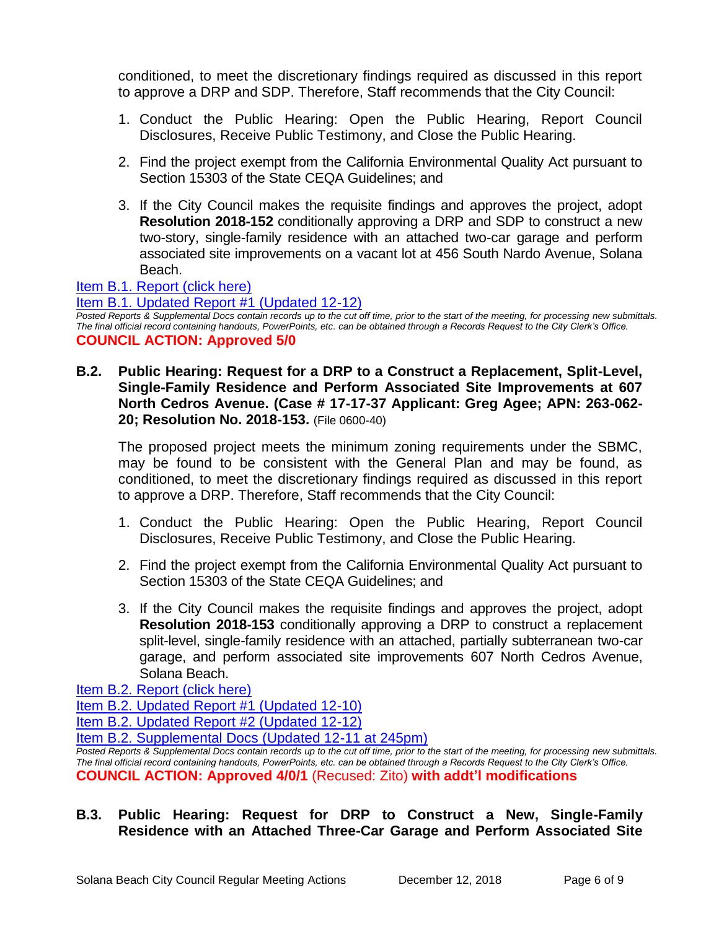conditioned, to meet the discretionary findings required as discussed in this report to approve a DRP and SDP. Therefore, Staff recommends that the City Council:

- 1. Conduct the Public Hearing: Open the Public Hearing, Report Council Disclosures, Receive Public Testimony, and Close the Public Hearing.
- 2. Find the project exempt from the California Environmental Quality Act pursuant to Section 15303 of the State CEQA Guidelines; and
- 3. If the City Council makes the requisite findings and approves the project, adopt **Resolution 2018-152** conditionally approving a DRP and SDP to construct a new two-story, single-family residence with an attached two-car garage and perform associated site improvements on a vacant lot at 456 South Nardo Avenue, Solana Beach.

# [Item B.1. Report \(click here\)](https://solanabeach.govoffice3.com/vertical/Sites/%7B840804C2-F869-4904-9AE3-720581350CE7%7D/uploads/Item_B.1._Report_(click_here)_-_12-12-18.PDF)

[Item B.1. Updated Report #1 \(Updated 12-12\)](https://solanabeach.govoffice3.com/vertical/Sites/%7B840804C2-F869-4904-9AE3-720581350CE7%7D/uploads/B.1._Staff_Report_Update_1(1).pdf)

*Posted Reports & Supplemental Docs contain records up to the cut off time, prior to the start of the meeting, for processing new submittals. The final official record containing handouts, PowerPoints, etc. can be obtained through a Records Request to the City Clerk's Office.* **COUNCIL ACTION: Approved 5/0**

**B.2. Public Hearing: Request for a DRP to a Construct a Replacement, Split-Level, Single-Family Residence and Perform Associated Site Improvements at 607 North Cedros Avenue. (Case # 17-17-37 Applicant: Greg Agee; APN: 263-062- 20; Resolution No. 2018-153.** (File 0600-40)

The proposed project meets the minimum zoning requirements under the SBMC, may be found to be consistent with the General Plan and may be found, as conditioned, to meet the discretionary findings required as discussed in this report to approve a DRP. Therefore, Staff recommends that the City Council:

- 1. Conduct the Public Hearing: Open the Public Hearing, Report Council Disclosures, Receive Public Testimony, and Close the Public Hearing.
- 2. Find the project exempt from the California Environmental Quality Act pursuant to Section 15303 of the State CEQA Guidelines; and
- 3. If the City Council makes the requisite findings and approves the project, adopt **Resolution 2018-153** conditionally approving a DRP to construct a replacement split-level, single-family residence with an attached, partially subterranean two-car garage, and perform associated site improvements 607 North Cedros Avenue, Solana Beach.

[Item B.2. Report \(click here\)](https://solanabeach.govoffice3.com/vertical/Sites/%7B840804C2-F869-4904-9AE3-720581350CE7%7D/uploads/Item_B.2._Report_(click_here)_-_12-12-18.PDF) 

[Item B.2. Updated Report #1 \(Updated 12-10\)](https://solanabeach.govoffice3.com/vertical/Sites/%7B840804C2-F869-4904-9AE3-720581350CE7%7D/uploads/B.2._Updated_Report_1_-_12-12-18.pdf) 

[Item B.2. Updated Report #2 \(Updated 12-12\)](https://solanabeach.govoffice3.com/vertical/Sites/%7B840804C2-F869-4904-9AE3-720581350CE7%7D/uploads/B.2._Staff_Report_Update_2_-_12-12-18.pdf)

[Item B.2. Supplemental Docs \(Updated 12-11](https://solanabeach.govoffice3.com/vertical/Sites/%7B840804C2-F869-4904-9AE3-720581350CE7%7D/uploads/B.2._Supplemental_Docs_(updated_12-11_at_245pm).pdf) at 245pm)

*Posted Reports & Supplemental Docs contain records up to the cut off time, prior to the start of the meeting, for processing new submittals. The final official record containing handouts, PowerPoints, etc. can be obtained through a Records Request to the City Clerk's Office.* **COUNCIL ACTION: Approved 4/0/1** (Recused: Zito) **with addt'l modifications**

# **B.3. Public Hearing: Request for DRP to Construct a New, Single-Family Residence with an Attached Three-Car Garage and Perform Associated Site**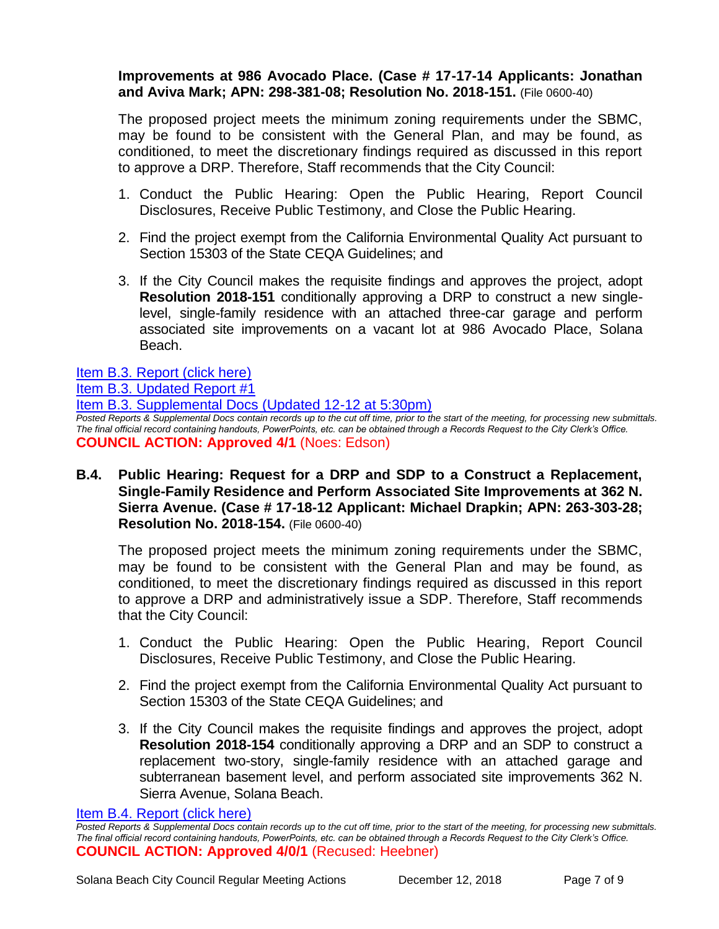#### **Improvements at 986 Avocado Place. (Case # 17-17-14 Applicants: Jonathan and Aviva Mark; APN: 298-381-08; Resolution No. 2018-151.** (File 0600-40)

The proposed project meets the minimum zoning requirements under the SBMC, may be found to be consistent with the General Plan, and may be found, as conditioned, to meet the discretionary findings required as discussed in this report to approve a DRP. Therefore, Staff recommends that the City Council:

- 1. Conduct the Public Hearing: Open the Public Hearing, Report Council Disclosures, Receive Public Testimony, and Close the Public Hearing.
- 2. Find the project exempt from the California Environmental Quality Act pursuant to Section 15303 of the State CEQA Guidelines; and
- 3. If the City Council makes the requisite findings and approves the project, adopt **Resolution 2018-151** conditionally approving a DRP to construct a new singlelevel, single-family residence with an attached three-car garage and perform associated site improvements on a vacant lot at 986 Avocado Place, Solana Beach.

[Item B.3. Report \(click here\)](https://solanabeach.govoffice3.com/vertical/Sites/%7B840804C2-F869-4904-9AE3-720581350CE7%7D/uploads/Item_B.3._Report_(click_here)_-_12-12-18.PDF)

[Item B.3. Updated Report #1](https://solanabeach.govoffice3.com/vertical/Sites/%7B840804C2-F869-4904-9AE3-720581350CE7%7D/uploads/B.3._Staff_Report_Update_1.pdf)

[Item B.3. Supplemental Docs \(Updated 12-12 at 5:30pm\)](https://solanabeach.govoffice3.com/vertical/Sites/%7B840804C2-F869-4904-9AE3-720581350CE7%7D/uploads/Item_B.3._Supplemental_Docs_(12-12_5pm).pdf) *Posted Reports & Supplemental Docs contain records up to the cut off time, prior to the start of the meeting, for processing new submittals. The final official record containing handouts, PowerPoints, etc. can be obtained through a Records Request to the City Clerk's Office.* **COUNCIL ACTION: Approved 4/1** (Noes: Edson)

**B.4. Public Hearing: Request for a DRP and SDP to a Construct a Replacement, Single-Family Residence and Perform Associated Site Improvements at 362 N. Sierra Avenue. (Case # 17-18-12 Applicant: Michael Drapkin; APN: 263-303-28; Resolution No. 2018-154.** (File 0600-40)

The proposed project meets the minimum zoning requirements under the SBMC, may be found to be consistent with the General Plan and may be found, as conditioned, to meet the discretionary findings required as discussed in this report to approve a DRP and administratively issue a SDP. Therefore, Staff recommends that the City Council:

- 1. Conduct the Public Hearing: Open the Public Hearing, Report Council Disclosures, Receive Public Testimony, and Close the Public Hearing.
- 2. Find the project exempt from the California Environmental Quality Act pursuant to Section 15303 of the State CEQA Guidelines; and
- 3. If the City Council makes the requisite findings and approves the project, adopt **Resolution 2018-154** conditionally approving a DRP and an SDP to construct a replacement two-story, single-family residence with an attached garage and subterranean basement level, and perform associated site improvements 362 N. Sierra Avenue, Solana Beach.

[Item B.4. Report \(click here\)](https://solanabeach.govoffice3.com/vertical/Sites/%7B840804C2-F869-4904-9AE3-720581350CE7%7D/uploads/Item_B.4._Report_(click_here)_-_12-12-18.PDF) 

*Posted Reports & Supplemental Docs contain records up to the cut off time, prior to the start of the meeting, for processing new submittals. The final official record containing handouts, PowerPoints, etc. can be obtained through a Records Request to the City Clerk's Office.* **COUNCIL ACTION: Approved 4/0/1** (Recused: Heebner)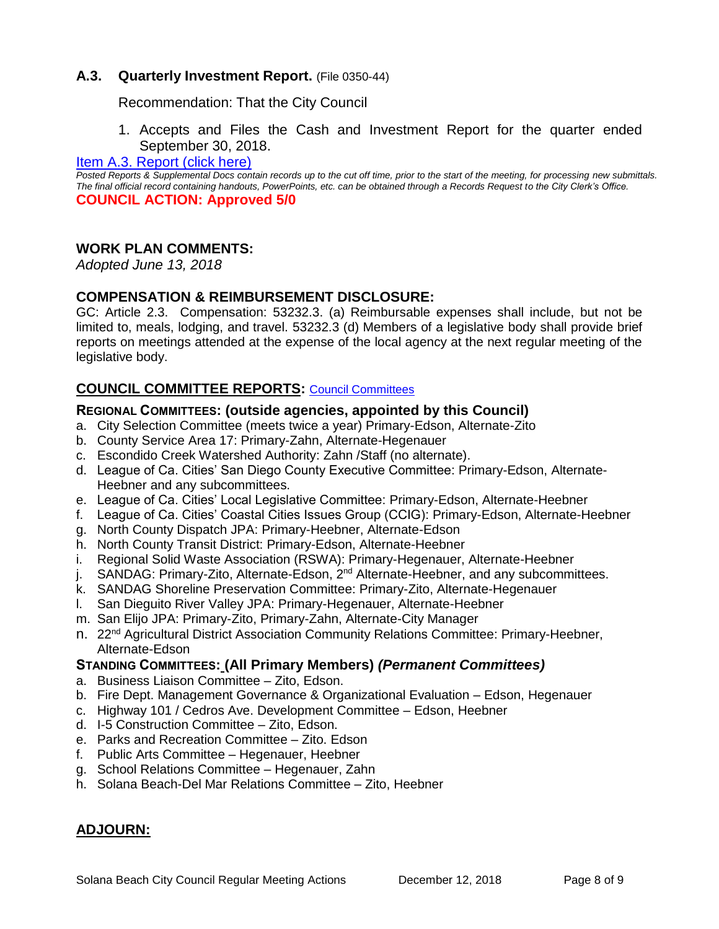#### **A.3. Quarterly Investment Report.** (File 0350-44)

Recommendation: That the City Council

1. Accepts and Files the Cash and Investment Report for the quarter ended September 30, 2018.

#### [Item A.3. Report \(click here\)](https://solanabeach.govoffice3.com/vertical/Sites/%7B840804C2-F869-4904-9AE3-720581350CE7%7D/uploads/Item_A.3._Report_(click_here)_-_12-12-18.PDF)

*Posted Reports & Supplemental Docs contain records up to the cut off time, prior to the start of the meeting, for processing new submittals. The final official record containing handouts, PowerPoints, etc. can be obtained through a Records Request to the City Clerk's Office.* **COUNCIL ACTION: Approved 5/0**

#### **WORK PLAN COMMENTS:**

*Adopted June 13, 2018*

#### **COMPENSATION & REIMBURSEMENT DISCLOSURE:**

GC: Article 2.3. Compensation: 53232.3. (a) Reimbursable expenses shall include, but not be limited to, meals, lodging, and travel. 53232.3 (d) Members of a legislative body shall provide brief reports on meetings attended at the expense of the local agency at the next regular meeting of the legislative body.

# **COUNCIL COMMITTEE REPORTS:** [Council Committees](https://www.ci.solana-beach.ca.us/index.asp?SEC=584E1192-3850-46EA-B977-088AC3E81E0D&Type=B_BASIC)

#### **REGIONAL COMMITTEES: (outside agencies, appointed by this Council)**

- a. City Selection Committee (meets twice a year) Primary-Edson, Alternate-Zito
- b. County Service Area 17: Primary-Zahn, Alternate-Hegenauer
- c. Escondido Creek Watershed Authority: Zahn /Staff (no alternate).
- d. League of Ca. Cities' San Diego County Executive Committee: Primary-Edson, Alternate-Heebner and any subcommittees.
- e. League of Ca. Cities' Local Legislative Committee: Primary-Edson, Alternate-Heebner
- f. League of Ca. Cities' Coastal Cities Issues Group (CCIG): Primary-Edson, Alternate-Heebner
- g. North County Dispatch JPA: Primary-Heebner, Alternate-Edson
- h. North County Transit District: Primary-Edson, Alternate-Heebner
- i. Regional Solid Waste Association (RSWA): Primary-Hegenauer, Alternate-Heebner
- j. SANDAG: Primary-Zito, Alternate-Edson, 2<sup>nd</sup> Alternate-Heebner, and any subcommittees.
- k. SANDAG Shoreline Preservation Committee: Primary-Zito, Alternate-Hegenauer
- l. San Dieguito River Valley JPA: Primary-Hegenauer, Alternate-Heebner
- m. San Elijo JPA: Primary-Zito, Primary-Zahn, Alternate-City Manager
- n. 22nd Agricultural District Association Community Relations Committee: Primary-Heebner, Alternate-Edson

#### **STANDING COMMITTEES: (All Primary Members)** *(Permanent Committees)*

- a. Business Liaison Committee Zito, Edson.
- b. Fire Dept. Management Governance & Organizational Evaluation Edson, Hegenauer
- c. Highway 101 / Cedros Ave. Development Committee Edson, Heebner
- d. I-5 Construction Committee Zito, Edson.
- e. Parks and Recreation Committee Zito. Edson
- f. Public Arts Committee Hegenauer, Heebner
- g. School Relations Committee Hegenauer, Zahn
- h. Solana Beach-Del Mar Relations Committee Zito, Heebner

# **ADJOURN:**